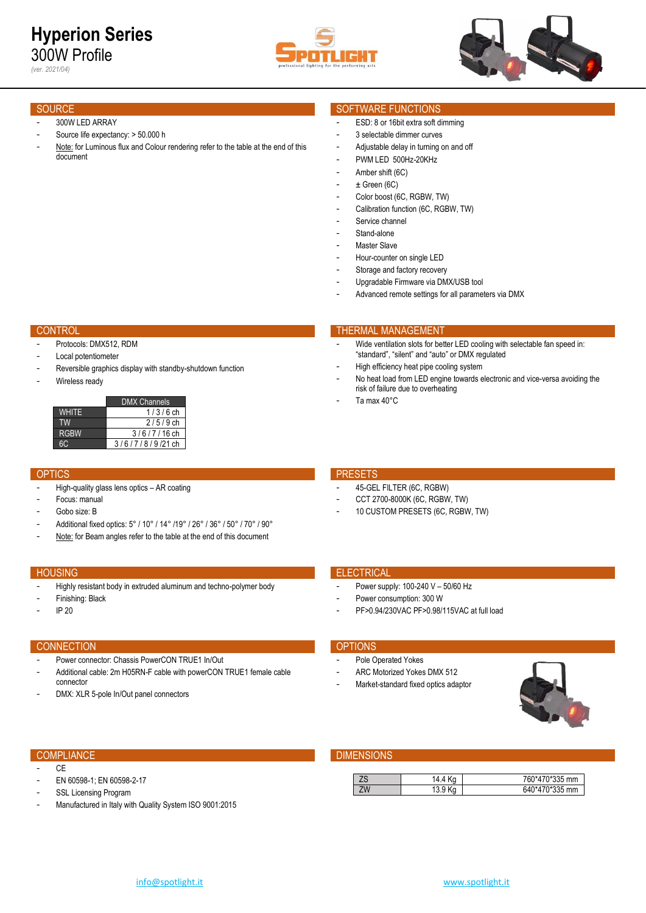



*(ver. 2021/04)*

- 300W LED ARRAY
- Source life expectancy: > 50.000 h
- Note: for Luminous flux and Colour rendering refer to the table at the end of this document

- Protocols: DMX512, RDM
- Local potentiometer
- Reversible graphics display with standby-shutdown function
- Wireless ready

|              | <b>DMX Channels</b> |
|--------------|---------------------|
| <b>WHITE</b> | $1/3/6$ ch          |
| TW.          | $2/5/9$ ch          |
| <b>RGBW</b>  | 3/6/7/16 ch         |
|              | $3/6/7/8/9/21$ ch   |

- High-quality glass lens optics AR coating
- Focus: manual
- Gobo size: B
- Additional fixed optics: 5° / 10° / 14° /19° / 26° / 36° / 50° / 70° / 90°
- Note: for Beam angles refer to the table at the end of this document

- Highly resistant body in extruded aluminum and techno-polymer body
- Finishing: Black
- IP 20

### CONNECTION **CONNECTION**

- Power connector: Chassis PowerCON TRUE1 In/Out
- Additional cable: 2m H05RN-F cable with powerCON TRUE1 female cable connector
- DMX: XLR 5-pole In/Out panel connectors

- $C_{\text{F}}$
- EN 60598-1; EN 60598-2-17
- SSL Licensing Program
- Manufactured in Italy with Quality System ISO 9001:2015

### SOURCE SOURCE SOURCE SOURCE SOURCE SOURCE SOURCE SOURCE SOURCE SOURCE SOURCE SOURCE SOURCE SOURCE SOURCE SOURCE

- ESD: 8 or 16bit extra soft dimming
- 3 selectable dimmer curves
- Adjustable delay in turning on and off
- PWM LED 500Hz-20KHz
- Amber shift (6C)
- $\pm$  Green (6C)
- Color boost (6C, RGBW, TW)
- Calibration function (6C, RGBW, TW)
- Service channel
- Stand-alone
- Master Slave
- Hour-counter on single LED
- Storage and factory recovery
- Upgradable Firmware via DMX/USB tool
- Advanced remote settings for all parameters via DMX

### CONTROL THERMAL MANAGEMENT CONTROL THERMAL MANAGEMENT

- Wide ventilation slots for better LED cooling with selectable fan speed in: "standard", "silent" and "auto" or DMX regulated
- High efficiency heat pipe cooling system
- No heat load from LED engine towards electronic and vice-versa avoiding the risk of failure due to overheating
- Ta max 40°C

### OPTICS **PRESETS**

- 45-GEL FILTER (6C, RGBW)
- CCT 2700-8000K (6C, RGBW, TW)
- 10 CUSTOM PRESETS (6C, RGBW, TW)

### **HOUSING ELECTRICAL CONTRACT CONTRACT CONTRACT CONTRACT CONTRACT CONTRACT CONTRACT CONTRACT CONTRACT CONTRACT CONTRACT CONTRACT CONTRACT CONTRACT CONTRACT CONTRACT CONTRACT CONTRACT CONTRACT CONTRACT CONTRACT CONTRACT CONT**

- Power supply: 100-240 V 50/60 Hz
- Power consumption: 300 W
- PF>0.94/230VAC PF>0.98/115VAC at full load

- Pole Operated Yokes
- ARC Motorized Yokes DMX 512
- Market-standard fixed optics adaptor



### COMPLIANCE **COMPLIANCE COMPLIANCE**

| ഺ൮ | 4.4  | $\gamma$ *335 mm<br>ʻhU<br><u>и</u> |
|----|------|-------------------------------------|
| ZW | ິບ.ບ | ⊐ בריא∩<br>mm<br>641                |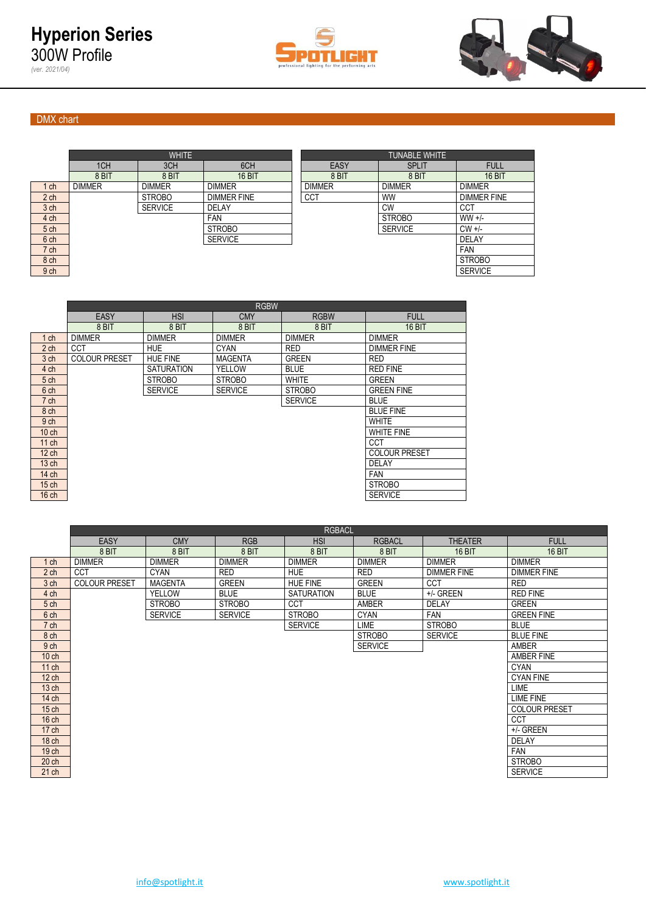



## DMX chart

*(ver. 2021/04)*

|                 |               | <b>WHITE</b>   |                    |               | <b>TUNABLE WHITE</b> |                    |
|-----------------|---------------|----------------|--------------------|---------------|----------------------|--------------------|
|                 | 1CH           | 3CH            | 6CH                | EASY          | <b>SPLIT</b>         | <b>FULL</b>        |
|                 | 8 BIT         | 8 BIT          | <b>16 BIT</b>      | 8 BIT         | 8 BIT                | 16 BIT             |
| ch              | <b>DIMMER</b> | <b>DIMMER</b>  | <b>DIMMER</b>      | <b>DIMMER</b> | <b>DIMMER</b>        | <b>DIMMER</b>      |
| 2 <sub>ch</sub> |               | <b>STROBO</b>  | <b>DIMMER FINE</b> | <b>CCT</b>    | <b>WW</b>            | <b>DIMMER FINE</b> |
| 3 <sub>ch</sub> |               | <b>SERVICE</b> | DELAY              |               | <b>CW</b>            | CCT                |
| 4 ch            |               |                | <b>FAN</b>         |               | <b>STROBO</b>        | $WW +/-$           |
| 5 ch            |               |                | <b>STROBO</b>      |               | <b>SERVICE</b>       | $CW +/-$           |
| 6 ch            |               |                | <b>SERVICE</b>     |               |                      | <b>DELAY</b>       |
| 7 ch            |               |                |                    |               |                      | <b>FAN</b>         |
| 8 ch            |               |                |                    |               |                      | <b>STROBO</b>      |
|                 |               |                |                    |               |                      |                    |

|                 |               | <b>WHITE</b>   |                    | <b>TUNABLE WHITE</b> |                |                    |  |  |  |  |  |
|-----------------|---------------|----------------|--------------------|----------------------|----------------|--------------------|--|--|--|--|--|
|                 | 1CH           | 3CH            | 6CH                | EASY                 | <b>SPLIT</b>   | <b>FULL</b>        |  |  |  |  |  |
|                 | 8 BIT         | 8 BIT          | <b>16 BIT</b>      | 8 BIT                | 8 BIT          | <b>16 BIT</b>      |  |  |  |  |  |
| $1$ ch          | <b>DIMMER</b> | <b>DIMMER</b>  | <b>DIMMER</b>      | <b>DIMMER</b>        | <b>DIMMER</b>  | <b>DIMMER</b>      |  |  |  |  |  |
| 2 <sub>ch</sub> |               | <b>STROBO</b>  | <b>DIMMER FINE</b> | <b>CCT</b>           | <b>WW</b>      | <b>DIMMER FINE</b> |  |  |  |  |  |
| 3 <sub>ch</sub> |               | <b>SERVICE</b> | <b>DELAY</b>       |                      | <b>CW</b>      | CCT                |  |  |  |  |  |
| 4 <sub>ch</sub> |               |                | <b>FAN</b>         |                      | <b>STROBO</b>  | $WW +/-$           |  |  |  |  |  |
| 5 <sub>ch</sub> |               |                | <b>STROBO</b>      |                      | <b>SERVICE</b> | $CW +/-$           |  |  |  |  |  |
| 6 <sub>ch</sub> |               |                | <b>SERVICE</b>     |                      |                | <b>DELAY</b>       |  |  |  |  |  |
| 7 <sub>ch</sub> |               |                |                    |                      |                | <b>FAN</b>         |  |  |  |  |  |
| 8 ch            |               |                |                    |                      |                | <b>STROBO</b>      |  |  |  |  |  |
| 9 ch            |               |                |                    |                      |                | <b>SERVICE</b>     |  |  |  |  |  |
|                 |               |                |                    |                      |                |                    |  |  |  |  |  |

|                  | <b>RGBW</b>          |                   |                |                |                      |  |  |  |  |  |  |  |  |
|------------------|----------------------|-------------------|----------------|----------------|----------------------|--|--|--|--|--|--|--|--|
|                  | <b>EASY</b>          | <b>HSI</b>        | <b>CMY</b>     | <b>RGBW</b>    | <b>FULL</b>          |  |  |  |  |  |  |  |  |
|                  | 8 BIT                | 8 BIT             | 8 BIT          | 8 BIT          | <b>16 BIT</b>        |  |  |  |  |  |  |  |  |
| $1$ ch           | <b>DIMMER</b>        | <b>DIMMER</b>     | <b>DIMMER</b>  | <b>DIMMER</b>  | <b>DIMMER</b>        |  |  |  |  |  |  |  |  |
| $2$ ch           | <b>CCT</b>           | <b>HUE</b>        | <b>CYAN</b>    | <b>RED</b>     | <b>DIMMER FINE</b>   |  |  |  |  |  |  |  |  |
| 3 <sub>ch</sub>  | <b>COLOUR PRESET</b> | <b>HUE FINE</b>   | <b>MAGENTA</b> | <b>GREEN</b>   | <b>RED</b>           |  |  |  |  |  |  |  |  |
| 4 ch             |                      | <b>SATURATION</b> | YELLOW         | <b>BLUE</b>    | <b>RED FINE</b>      |  |  |  |  |  |  |  |  |
| 5 <sub>ch</sub>  |                      | <b>STROBO</b>     | <b>STROBO</b>  | <b>WHITE</b>   | <b>GREEN</b>         |  |  |  |  |  |  |  |  |
| 6 ch             |                      | <b>SERVICE</b>    | <b>SERVICE</b> | <b>STROBO</b>  | <b>GREEN FINE</b>    |  |  |  |  |  |  |  |  |
| 7 ch             |                      |                   |                | <b>SERVICE</b> | <b>BLUE</b>          |  |  |  |  |  |  |  |  |
| 8 ch             |                      |                   |                |                | <b>BLUE FINE</b>     |  |  |  |  |  |  |  |  |
| 9 <sub>ch</sub>  |                      |                   |                |                | <b>WHITE</b>         |  |  |  |  |  |  |  |  |
| $10$ ch          |                      |                   |                |                | <b>WHITE FINE</b>    |  |  |  |  |  |  |  |  |
| $11$ ch          |                      |                   |                |                | CCT                  |  |  |  |  |  |  |  |  |
| $12$ ch          |                      |                   |                |                | <b>COLOUR PRESET</b> |  |  |  |  |  |  |  |  |
| 13 <sub>ch</sub> |                      |                   |                |                | <b>DELAY</b>         |  |  |  |  |  |  |  |  |
| $14$ ch          |                      |                   |                |                | <b>FAN</b>           |  |  |  |  |  |  |  |  |
| $15$ ch          |                      |                   |                |                | <b>STROBO</b>        |  |  |  |  |  |  |  |  |
| $16$ ch          |                      |                   |                |                | <b>SERVICE</b>       |  |  |  |  |  |  |  |  |

|                  | <b>EASY</b>          | <b>CMY</b>     | <b>RGB</b>     | <b>HSI</b>        | <b>RGBACL</b>  | <b>THEATER</b>     | <b>FULL</b>          |
|------------------|----------------------|----------------|----------------|-------------------|----------------|--------------------|----------------------|
|                  | 8 BIT                | 8 BIT          | 8 BIT          | 8 BIT             | 8 BIT          | <b>16 BIT</b>      | <b>16 BIT</b>        |
| $1$ ch           | <b>DIMMER</b>        | <b>DIMMER</b>  | <b>DIMMER</b>  | <b>DIMMER</b>     | <b>DIMMER</b>  | <b>DIMMER</b>      | <b>DIMMER</b>        |
| 2 <sub>ch</sub>  | <b>CCT</b>           | <b>CYAN</b>    | <b>RED</b>     | <b>HUE</b>        | <b>RED</b>     | <b>DIMMER FINE</b> | <b>DIMMER FINE</b>   |
| 3 ch             | <b>COLOUR PRESET</b> | <b>MAGENTA</b> | <b>GREEN</b>   | <b>HUE FINE</b>   | <b>GREEN</b>   | <b>CCT</b>         | <b>RED</b>           |
| 4 ch             |                      | <b>YELLOW</b>  | <b>BLUE</b>    | <b>SATURATION</b> | <b>BLUE</b>    | +/- GREEN          | <b>RED FINE</b>      |
| 5 <sub>ch</sub>  |                      | <b>STROBO</b>  | <b>STROBO</b>  | CCT               | <b>AMBER</b>   | <b>DELAY</b>       | <b>GREEN</b>         |
| 6 ch             |                      | <b>SERVICE</b> | <b>SERVICE</b> | <b>STROBO</b>     | <b>CYAN</b>    | <b>FAN</b>         | <b>GREEN FINE</b>    |
| 7 ch             |                      |                |                | <b>SERVICE</b>    | LIME           | <b>STROBO</b>      | <b>BLUE</b>          |
| 8 ch             |                      |                |                |                   | <b>STROBO</b>  | <b>SERVICE</b>     | <b>BLUE FINE</b>     |
| 9 ch             |                      |                |                |                   | <b>SERVICE</b> |                    | AMBER                |
| $10$ ch          |                      |                |                |                   |                |                    | AMBER FINE           |
| 11 ch            |                      |                |                |                   |                |                    | <b>CYAN</b>          |
| $12$ ch          |                      |                |                |                   |                |                    | <b>CYAN FINE</b>     |
| 13 <sub>ch</sub> |                      |                |                |                   |                |                    | <b>LIME</b>          |
| 14 ch            |                      |                |                |                   |                |                    | <b>LIME FINE</b>     |
| $15$ ch          |                      |                |                |                   |                |                    | <b>COLOUR PRESET</b> |
| 16 <sub>ch</sub> |                      |                |                |                   |                |                    | <b>CCT</b>           |
| 17 ch            |                      |                |                |                   |                |                    | +/- GREEN            |
| 18 <sub>ch</sub> |                      |                |                |                   |                |                    | <b>DELAY</b>         |
| 19 ch            |                      |                |                |                   |                |                    | FAN                  |
| 20 <sub>ch</sub> |                      |                |                |                   |                |                    | <b>STROBO</b>        |
| 21 ch            |                      |                |                |                   |                |                    | <b>SERVICE</b>       |